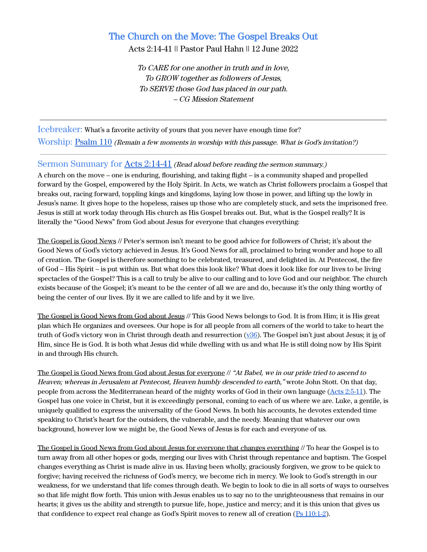# The Church on the Move: The Gospel Breaks Out

Acts 2:14-41 || Pastor Paul Hahn || 12 June 2022

To CARE for one another in truth and in love, To GROW together as followers of Jesus, To SERVE those God has placed in our path. – CG Mission Statement

Icebreaker: What's a favorite activity of yours that you never have enough time for? Worship: [Psalm 110](https://www.biblegateway.com/passage/?search=Psalm+110&version=ESV) (Remain <sup>a</sup> few moments in worship with this passage. What is God's invitation?)

### Sermon Summary for Acts [2:14-41](https://www.biblegateway.com/passage/?search=Acts+2%3A14-41&version=ESV) (Read aloud before reading the sermon summary.)

A church on the move – one is enduring, flourishing, and taking flight – is a community shaped and propelled forward by the Gospel, empowered by the Holy Spirit. In Acts, we watch as Christ followers proclaim a Gospel that breaks out, racing forward, toppling kings and kingdoms, laying low those in power, and lifting up the lowly in Jesus's name. It gives hope to the hopeless, raises up those who are completely stuck, and sets the imprisoned free. Jesus is still at work today through His church as His Gospel breaks out. But, what is the Gospel really? It is literally the "Good News" from God about Jesus for everyone that changes everything:

The Gospel is Good News // Peter's sermon isn't meant to be good advice for followers of Christ; it's about the Good News of God's victory achieved in Jesus. It's Good News for all, proclaimed to bring wonder and hope to all of creation. The Gospel is therefore something to be celebrated, treasured, and delighted in. At Pentecost, the fire of God – His Spirit – is put within us. But what does this look like? What does it look like for our lives to be living spectacles of the Gospel? This is a call to truly be alive to our calling and to love God and our neighbor. The church exists because of the Gospel; it's meant to be the center of all we are and do, because it's the only thing worthy of being the center of our lives. By it we are called to life and by it we live.

The Gospel is Good News from God about Jesus // This Good News belongs to God. It is from Him; it is His great plan which He organizes and oversees. Our hope is for all people from all corners of the world to take to heart the truth of God's victory won in Christ through death and resurrection ([v36\)](https://www.biblegateway.com/passage/?search=Acts+2%3A36&version=ESV). The Gospel isn't just about Jesus; it is of Him, since He is God. It is both what Jesus did while dwelling with us and what He is still doing now by His Spirit in and through His church.

The Gospel is Good News from God about Jesus for everyone // "At Babel, we in our pride tried to ascend to Heaven; whereas in Jerusalem at Pentecost, Heaven humbly descended to earth," wrote John Stott. On that day, people from across the Mediterranean heard of the mighty works of God in their own language (Acts [2:5-11](https://www.biblegateway.com/passage/?search=Acts+2%3A5-11&version=ESV)). The Gospel has one voice in Christ, but it is exceedingly personal, coming to each of us where we are. Luke, a gentile, is uniquely qualified to express the universality of the Good News. In both his accounts, he devotes extended time speaking to Christ's heart for the outsiders, the vulnerable, and the needy. Meaning that whatever our own background, however low we might be, the Good News of Jesus is for each and everyone of us.

The Gospel is Good News from God about Jesus for everyone that changes everything // To hear the Gospel is to turn away from all other hopes or gods, merging our lives with Christ through repentance and baptism. The Gospel changes everything as Christ is made alive in us. Having been wholly, graciously forgiven, we grow to be quick to forgive; having received the richness of God's mercy, we become rich in mercy. We look to God's strength in our weakness, for we understand that life comes through death. We begin to look to die in all sorts of ways to ourselves so that life might flow forth. This union with Jesus enables us to say no to the unrighteousness that remains in our hearts; it gives us the ability and strength to pursue life, hope, justice and mercy; and it is this union that gives us that confidence to expect real change as God's Spirit moves to renew all of creation (Ps [110:1-2](https://www.biblegateway.com/passage/?search=Psalm+110%3A1-2&version=ESV)).